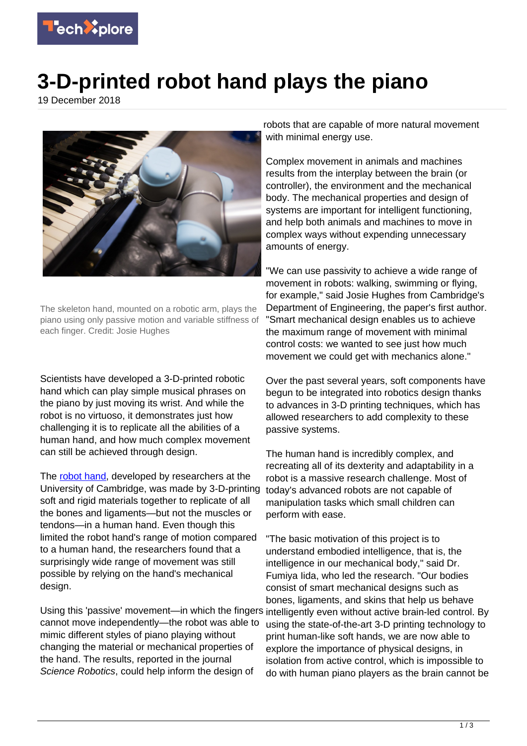

## **3-D-printed robot hand plays the piano**

19 December 2018



The skeleton hand, mounted on a robotic arm, plays the piano using only passive motion and variable stiffness of each finger. Credit: Josie Hughes

Scientists have developed a 3-D-printed robotic hand which can play simple musical phrases on the piano by just moving its wrist. And while the robot is no virtuoso, it demonstrates just how challenging it is to replicate all the abilities of a human hand, and how much complex movement can still be achieved through design.

The [robot hand,](https://techxplore.com/tags/robot+hand/) developed by researchers at the University of Cambridge, was made by 3-D-printing soft and rigid materials together to replicate of all the bones and ligaments—but not the muscles or tendons—in a human hand. Even though this limited the robot hand's range of motion compared to a human hand, the researchers found that a surprisingly wide range of movement was still possible by relying on the hand's mechanical design.

Using this 'passive' movement—in which the fingers intelligently even without active brain-led control. By cannot move independently—the robot was able to mimic different styles of piano playing without changing the material or mechanical properties of the hand. The results, reported in the journal Science Robotics, could help inform the design of

robots that are capable of more natural movement with minimal energy use.

Complex movement in animals and machines results from the interplay between the brain (or controller), the environment and the mechanical body. The mechanical properties and design of systems are important for intelligent functioning, and help both animals and machines to move in complex ways without expending unnecessary amounts of energy.

"We can use passivity to achieve a wide range of movement in robots: walking, swimming or flying, for example," said Josie Hughes from Cambridge's Department of Engineering, the paper's first author. "Smart mechanical design enables us to achieve the maximum range of movement with minimal control costs: we wanted to see just how much movement we could get with mechanics alone."

Over the past several years, soft components have begun to be integrated into robotics design thanks to advances in 3-D printing techniques, which has allowed researchers to add complexity to these passive systems.

The human hand is incredibly complex, and recreating all of its dexterity and adaptability in a robot is a massive research challenge. Most of today's advanced robots are not capable of manipulation tasks which small children can perform with ease.

"The basic motivation of this project is to understand embodied intelligence, that is, the intelligence in our mechanical body," said Dr. Fumiya Iida, who led the research. "Our bodies consist of smart mechanical designs such as bones, ligaments, and skins that help us behave using the state-of-the-art 3-D printing technology to print human-like soft hands, we are now able to explore the importance of physical designs, in isolation from active control, which is impossible to do with human piano players as the brain cannot be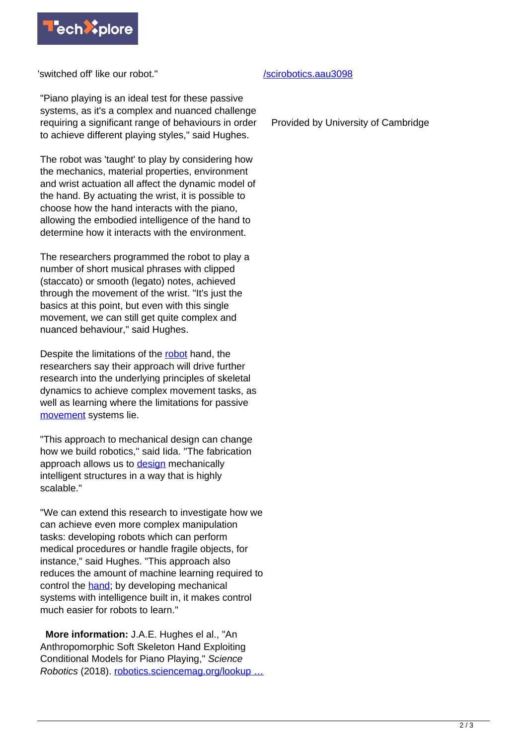

'switched off' like our robot."

"Piano playing is an ideal test for these passive systems, as it's a complex and nuanced challenge requiring a significant range of behaviours in order to achieve different playing styles," said Hughes.

The robot was 'taught' to play by considering how the mechanics, material properties, environment and wrist actuation all affect the dynamic model of the hand. By actuating the wrist, it is possible to choose how the hand interacts with the piano, allowing the embodied intelligence of the hand to determine how it interacts with the environment.

The researchers programmed the robot to play a number of short musical phrases with clipped (staccato) or smooth (legato) notes, achieved through the movement of the wrist. "It's just the basics at this point, but even with this single movement, we can still get quite complex and nuanced behaviour," said Hughes.

Despite the limitations of the [robot](https://techxplore.com/tags/robot/) hand, the researchers say their approach will drive further research into the underlying principles of skeletal dynamics to achieve complex movement tasks, as well as learning where the limitations for passive [movement](https://techxplore.com/tags/movement/) systems lie.

"This approach to mechanical design can change how we build robotics," said Iida. "The fabrication approach allows us to [design](https://techxplore.com/tags/design/) mechanically intelligent structures in a way that is highly scalable."

"We can extend this research to investigate how we can achieve even more complex manipulation tasks: developing robots which can perform medical procedures or handle fragile objects, for instance," said Hughes. "This approach also reduces the amount of machine learning required to control the [hand](https://techxplore.com/tags/hand/); by developing mechanical systems with intelligence built in, it makes control much easier for robots to learn."

 **More information:** J.A.E. Hughes el al., "An Anthropomorphic Soft Skeleton Hand Exploiting Conditional Models for Piano Playing," Science Robotics (2018). [robotics.sciencemag.org/lookup …](http://robotics.sciencemag.org/lookup/doi/10.1126/scirobotics.aau3098)

## [/scirobotics.aau3098](http://robotics.sciencemag.org/lookup/doi/10.1126/scirobotics.aau3098)

Provided by University of Cambridge